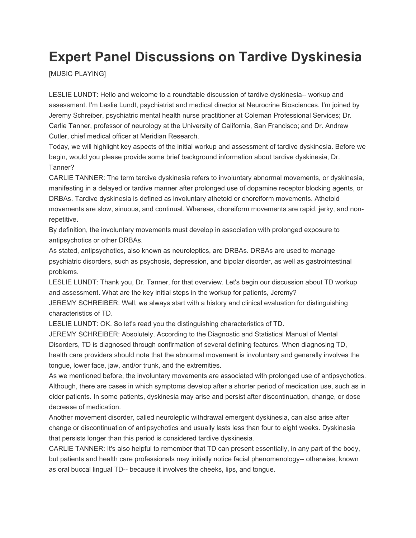## **Expert Panel Discussions on Tardive Dyskinesia**

[MUSIC PLAYING]

LESLIE LUNDT: Hello and welcome to a roundtable discussion of tardive dyskinesia-- workup and assessment. I'm Leslie Lundt, psychiatrist and medical director at Neurocrine Biosciences. I'm joined by Jeremy Schreiber, psychiatric mental health nurse practitioner at Coleman Professional Services; Dr. Carlie Tanner, professor of neurology at the University of California, San Francisco; and Dr. Andrew Cutler, chief medical officer at Meridian Research.

Today, we will highlight key aspects of the initial workup and assessment of tardive dyskinesia. Before we begin, would you please provide some brief background information about tardive dyskinesia, Dr. Tanner?

CARLIE TANNER: The term tardive dyskinesia refers to involuntary abnormal movements, or dyskinesia, manifesting in a delayed or tardive manner after prolonged use of dopamine receptor blocking agents, or DRBAs. Tardive dyskinesia is defined as involuntary athetoid or choreiform movements. Athetoid movements are slow, sinuous, and continual. Whereas, choreiform movements are rapid, jerky, and nonrepetitive.

By definition, the involuntary movements must develop in association with prolonged exposure to antipsychotics or other DRBAs.

As stated, antipsychotics, also known as neuroleptics, are DRBAs. DRBAs are used to manage psychiatric disorders, such as psychosis, depression, and bipolar disorder, as well as gastrointestinal problems.

LESLIE LUNDT: Thank you, Dr. Tanner, for that overview. Let's begin our discussion about TD workup and assessment. What are the key initial steps in the workup for patients, Jeremy?

JEREMY SCHREIBER: Well, we always start with a history and clinical evaluation for distinguishing characteristics of TD.

LESLIE LUNDT: OK. So let's read you the distinguishing characteristics of TD.

JEREMY SCHREIBER: Absolutely. According to the Diagnostic and Statistical Manual of Mental Disorders, TD is diagnosed through confirmation of several defining features. When diagnosing TD, health care providers should note that the abnormal movement is involuntary and generally involves the tongue, lower face, jaw, and/or trunk, and the extremities.

As we mentioned before, the involuntary movements are associated with prolonged use of antipsychotics. Although, there are cases in which symptoms develop after a shorter period of medication use, such as in older patients. In some patients, dyskinesia may arise and persist after discontinuation, change, or dose decrease of medication.

Another movement disorder, called neuroleptic withdrawal emergent dyskinesia, can also arise after change or discontinuation of antipsychotics and usually lasts less than four to eight weeks. Dyskinesia that persists longer than this period is considered tardive dyskinesia.

CARLIE TANNER: It's also helpful to remember that TD can present essentially, in any part of the body, but patients and health care professionals may initially notice facial phenomenology-- otherwise, known as oral buccal lingual TD-- because it involves the cheeks, lips, and tongue.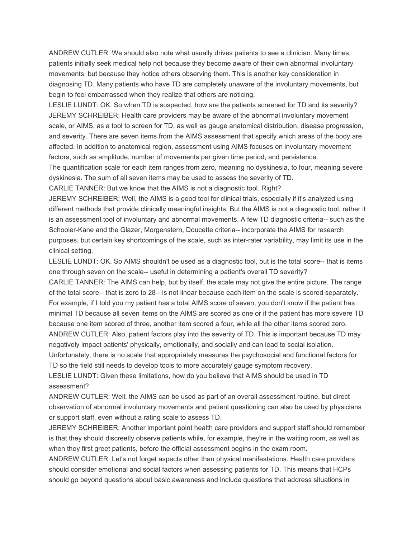ANDREW CUTLER: We should also note what usually drives patients to see a clinician. Many times, patients initially seek medical help not because they become aware of their own abnormal involuntary movements, but because they notice others observing them. This is another key consideration in diagnosing TD. Many patients who have TD are completely unaware of the involuntary movements, but begin to feel embarrassed when they realize that others are noticing.

LESLIE LUNDT: OK. So when TD is suspected, how are the patients screened for TD and its severity? JEREMY SCHREIBER: Health care providers may be aware of the abnormal involuntary movement scale, or AIMS, as a tool to screen for TD, as well as gauge anatomical distribution, disease progression, and severity. There are seven items from the AIMS assessment that specify which areas of the body are affected. In addition to anatomical region, assessment using AIMS focuses on involuntary movement factors, such as amplitude, number of movements per given time period, and persistence.

The quantification scale for each item ranges from zero, meaning no dyskinesia, to four, meaning severe dyskinesia. The sum of all seven items may be used to assess the severity of TD.

CARLIE TANNER: But we know that the AIMS is not a diagnostic tool. Right?

JEREMY SCHREIBER: Well, the AIMS is a good tool for clinical trials, especially if it's analyzed using different methods that provide clinically meaningful insights. But the AIMS is not a diagnostic tool, rather it is an assessment tool of involuntary and abnormal movements. A few TD diagnostic criteria-- such as the Schooler-Kane and the Glazer, Morgenstern, Doucette criteria-- incorporate the AIMS for research purposes, but certain key shortcomings of the scale, such as inter-rater variability, may limit its use in the clinical setting.

LESLIE LUNDT: OK. So AIMS shouldn't be used as a diagnostic tool, but is the total score-- that is items one through seven on the scale-- useful in determining a patient's overall TD severity?

CARLIE TANNER: The AIMS can help, but by itself, the scale may not give the entire picture. The range of the total score-- that is zero to 28-- is not linear because each item on the scale is scored separately. For example, if I told you my patient has a total AIMS score of seven, you don't know if the patient has minimal TD because all seven items on the AIMS are scored as one or if the patient has more severe TD because one item scored of three, another item scored a four, while all the other items scored zero. ANDREW CUTLER: Also, patient factors play into the severity of TD. This is important because TD may negatively impact patients' physically, emotionally, and socially and can lead to social isolation. Unfortunately, there is no scale that appropriately measures the psychosocial and functional factors for

TD so the field still needs to develop tools to more accurately gauge symptom recovery.

LESLIE LUNDT: Given these limitations, how do you believe that AIMS should be used in TD assessment?

ANDREW CUTLER: Well, the AIMS can be used as part of an overall assessment routine, but direct observation of abnormal involuntary movements and patient questioning can also be used by physicians or support staff, even without a rating scale to assess TD.

JEREMY SCHREIBER: Another important point health care providers and support staff should remember is that they should discreetly observe patients while, for example, they're in the waiting room, as well as when they first greet patients, before the official assessment begins in the exam room.

ANDREW CUTLER: Let's not forget aspects other than physical manifestations. Health care providers should consider emotional and social factors when assessing patients for TD. This means that HCPs should go beyond questions about basic awareness and include questions that address situations in